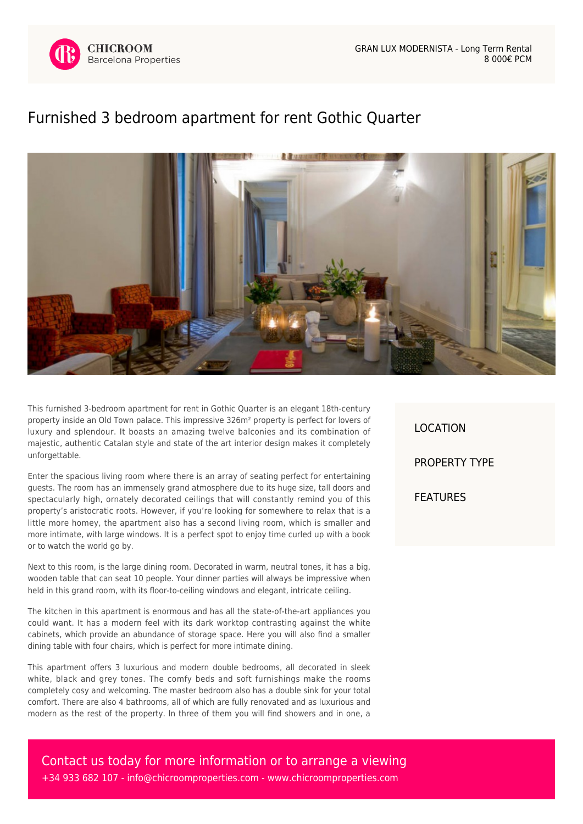

## [Furnished 3 bedroom apartment for rent Gothic Quarter](https://www.chicroomproperties.com/en/property/553/furnished-3-bedroom-apartment-for-rent-gothic-quarter/)



This furnished 3-bedroom apartment for rent in Gothic Quarter is an elegant 18th-century property inside an Old Town palace. This impressive 326m² property is perfect for lovers of luxury and splendour. It boasts an amazing twelve balconies and its combination of majestic, authentic Catalan style and state of the art interior design makes it completely unforgettable.

Enter the spacious living room where there is an array of seating perfect for entertaining guests. The room has an immensely grand atmosphere due to its huge size, tall doors and spectacularly high, ornately decorated ceilings that will constantly remind you of this property's aristocratic roots. However, if you're looking for somewhere to relax that is a little more homey, the apartment also has a second living room, which is smaller and more intimate, with large windows. It is a perfect spot to enjoy time curled up with a book or to watch the world go by.

Next to this room, is the large dining room. Decorated in warm, neutral tones, it has a big, wooden table that can seat 10 people. Your dinner parties will always be impressive when held in this grand room, with its floor-to-ceiling windows and elegant, intricate ceiling.

The kitchen in this apartment is enormous and has all the state-of-the-art appliances you could want. It has a modern feel with its dark worktop contrasting against the white cabinets, which provide an abundance of storage space. Here you will also find a smaller dining table with four chairs, which is perfect for more intimate dining.

This apartment offers 3 luxurious and modern double bedrooms, all decorated in sleek white, black and grey tones. The comfy beds and soft furnishings make the rooms completely cosy and welcoming. The master bedroom also has a double sink for your total comfort. There are also 4 bathrooms, all of which are fully renovated and as luxurious and modern as the rest of the property. In three of them you will find showers and in one, a LOCATION PROPERTY TYPE FEATURES

Contact us today for more information or to arrange a viewing +34 933 682 107 - [info@chicroomproperties.com](mailto:info@chicroomproperties.com) - [www.chicroomproperties.com](http://www.chicroomproperties.com)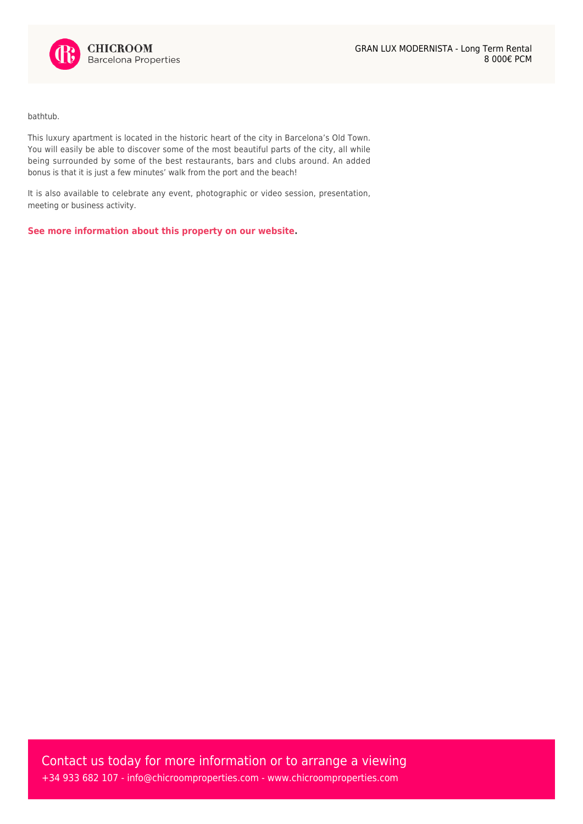

bathtub.

This luxury apartment is located in the historic heart of the city in Barcelona's Old Town. You will easily be able to discover some of the most beautiful parts of the city, all while being surrounded by some of the best restaurants, bars and clubs around. An added bonus is that it is just a few minutes' walk from the port and the beach!

It is also available to celebrate any event, photographic or video session, presentation, meeting or business activity.

**[See more information about this property on our website.](https://www.chicroomproperties.com/en/property/553/furnished-3-bedroom-apartment-for-rent-gothic-quarter/)**